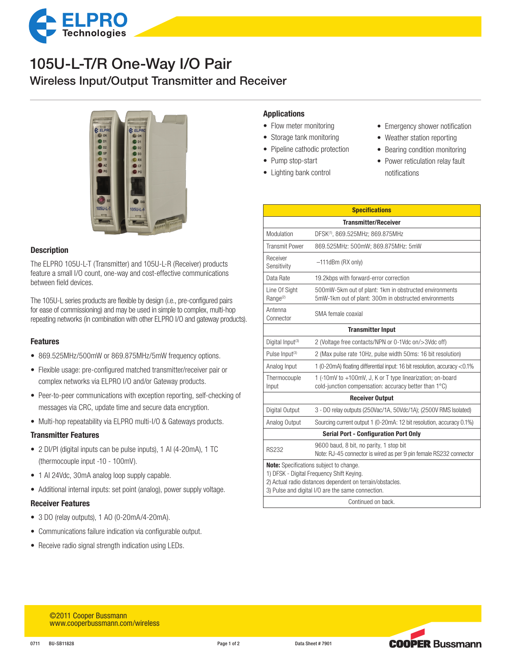

# 105U-L-T/R One-Way I/O Pair

Wireless Input/Output Transmitter and Receiver



## **Description**

The ELPRO 105U-L-T (Transmitter) and 105U-L-R (Receiver) products feature a small I/O count, one-way and cost-effective communications between field devices.

The 105U-L series products are flexible by design (i.e., pre-configured pairs for ease of commissioning) and may be used in simple to complex, multi-hop repeating networks (in combination with other ELPRO I/O and gateway products).

## Features

- 869.525MHz/500mW or 869.875MHz/5mW frequency options.
- Flexible usage: pre-configured matched transmitter/receiver pair or complex networks via ELPRO I/O and/or Gateway products.
- Peer-to-peer communications with exception reporting, self-checking of messages via CRC, update time and secure data encryption.
- Multi-hop repeatability via ELPRO multi-I/O & Gateways products.

## Transmitter Features

- 2 DI/PI (digital inputs can be pulse inputs), 1 AI (4-20mA), 1 TC (thermocouple input -10 - 100mV).
- 1 AI 24Vdc, 30mA analog loop supply capable.
- Additional internal inputs: set point (analog), power supply voltage.

#### Receiver Features

- • 3 DO (relay outputs), 1 AO (0-20mA/4-20mA).
- Communications failure indication via configurable output.
- Receive radio signal strength indication using LEDs.

## Applications

- Flow meter monitoring
- Storage tank monitoring
- Pipeline cathodic protection
- Pump stop-start
- Lighting bank control
- Emergency shower notification
- Weather station reporting
- Bearing condition monitoring
- Power reticulation relay fault notifications

| <b>Specifications</b>                                                                                                                                                                                                        |                                                                                                                     |  |  |  |  |
|------------------------------------------------------------------------------------------------------------------------------------------------------------------------------------------------------------------------------|---------------------------------------------------------------------------------------------------------------------|--|--|--|--|
| <b>Transmitter/Receiver</b>                                                                                                                                                                                                  |                                                                                                                     |  |  |  |  |
| Modulation                                                                                                                                                                                                                   | DFSK(1), 869.525MHz; 869.875MHz                                                                                     |  |  |  |  |
| <b>Transmit Power</b>                                                                                                                                                                                                        | 869.525MHz: 500mW; 869.875MHz: 5mW                                                                                  |  |  |  |  |
| Receiver<br>Sensitivity                                                                                                                                                                                                      | $-111$ d $Bm$ (RX only)                                                                                             |  |  |  |  |
| Data Rate                                                                                                                                                                                                                    | 19.2kbps with forward-error correction                                                                              |  |  |  |  |
| Line Of Sight<br>Range <sup>(2)</sup>                                                                                                                                                                                        | 500mW-5km out of plant: 1km in obstructed environments<br>5mW-1km out of plant: 300m in obstructed environments     |  |  |  |  |
| Antenna<br>Connector                                                                                                                                                                                                         | SMA female coaxial                                                                                                  |  |  |  |  |
|                                                                                                                                                                                                                              | <b>Transmitter Input</b>                                                                                            |  |  |  |  |
| Digital Input <sup>(3)</sup>                                                                                                                                                                                                 | 2 (Voltage free contacts/NPN or 0-1Vdc on/>3Vdc off)                                                                |  |  |  |  |
| Pulse Input <sup>(3)</sup>                                                                                                                                                                                                   | 2 (Max pulse rate 10Hz, pulse width 50ms: 16 bit resolution)                                                        |  |  |  |  |
| Analog Input                                                                                                                                                                                                                 | 1 (0-20mA) floating differential input: 16 bit resolution, accuracy <0.1%                                           |  |  |  |  |
| Thermocouple<br>Input                                                                                                                                                                                                        | 1 (-10mV to +100mV, J, K or T type linearization; on-board<br>cold-junction compensation: accuracy better than 1°C) |  |  |  |  |
| <b>Receiver Output</b>                                                                                                                                                                                                       |                                                                                                                     |  |  |  |  |
| Digital Output                                                                                                                                                                                                               | 3 - DO relay outputs (250Vac/1A, 50Vdc/1A); (2500V RMS Isolated)                                                    |  |  |  |  |
| Analog Output                                                                                                                                                                                                                | Sourcing current output 1 (0-20mA: 12 bit resolution, accuracy 0.1%)                                                |  |  |  |  |
| <b>Serial Port - Configuration Port Only</b>                                                                                                                                                                                 |                                                                                                                     |  |  |  |  |
| <b>RS232</b>                                                                                                                                                                                                                 | 9600 baud, 8 bit, no parity, 1 stop bit<br>Note: RJ-45 connector is wired as per 9 pin female RS232 connector       |  |  |  |  |
| Note: Specifications subject to change.<br>1) DFSK - Digital Frequency Shift Keying.<br>2) Actual radio distances dependent on terrain/obstacles.<br>3) Pulse and digital I/O are the same connection.<br>Continued on back. |                                                                                                                     |  |  |  |  |
|                                                                                                                                                                                                                              |                                                                                                                     |  |  |  |  |